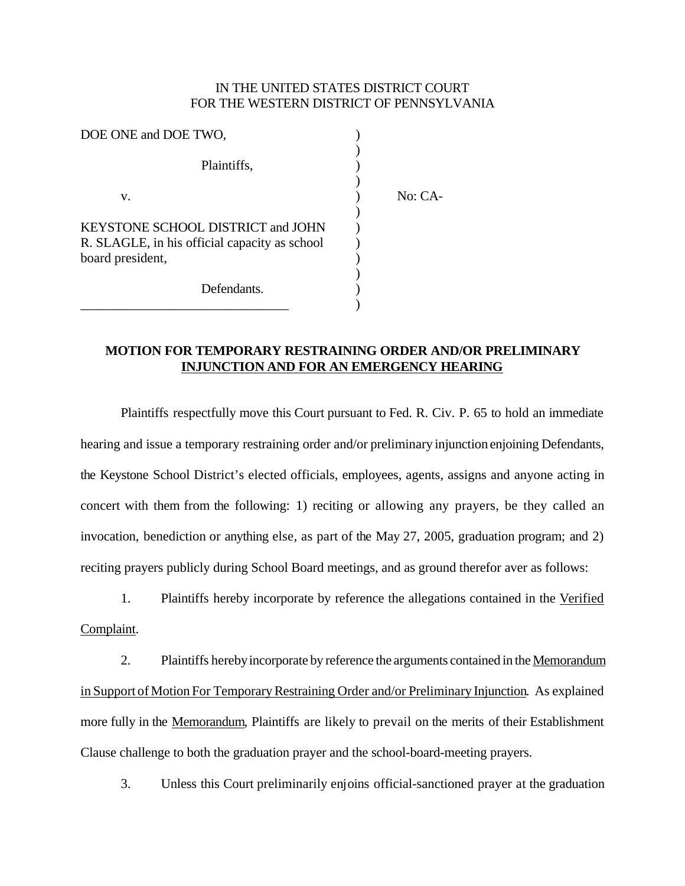## IN THE UNITED STATES DISTRICT COURT FOR THE WESTERN DISTRICT OF PENNSYLVANIA

| DOE ONE and DOE TWO.                                                                                   |           |
|--------------------------------------------------------------------------------------------------------|-----------|
| Plaintiffs,                                                                                            |           |
| v.                                                                                                     | $No: CA-$ |
| KEYSTONE SCHOOL DISTRICT and JOHN<br>R. SLAGLE, in his official capacity as school<br>board president, |           |
| Defendants.                                                                                            |           |

## **MOTION FOR TEMPORARY RESTRAINING ORDER AND/OR PRELIMINARY INJUNCTION AND FOR AN EMERGENCY HEARING**

Plaintiffs respectfully move this Court pursuant to Fed. R. Civ. P. 65 to hold an immediate hearing and issue a temporary restraining order and/or preliminary injunction enjoining Defendants, the Keystone School District's elected officials, employees, agents, assigns and anyone acting in concert with them from the following: 1) reciting or allowing any prayers, be they called an invocation, benediction or anything else, as part of the May 27, 2005, graduation program; and 2) reciting prayers publicly during School Board meetings, and as ground therefor aver as follows:

1. Plaintiffs hereby incorporate by reference the allegations contained in the Verified Complaint.

2. Plaintiffs hereby incorporate by reference the arguments contained in the Memorandum in Support of Motion For Temporary Restraining Order and/or Preliminary Injunction. As explained more fully in the Memorandum, Plaintiffs are likely to prevail on the merits of their Establishment Clause challenge to both the graduation prayer and the school-board-meeting prayers.

3. Unless this Court preliminarily enjoins official-sanctioned prayer at the graduation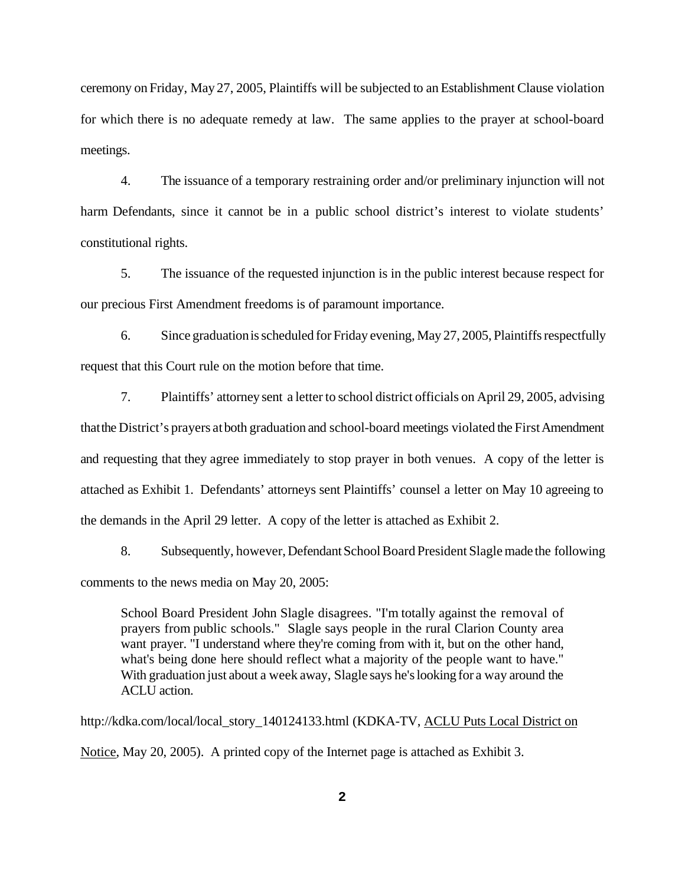ceremony on Friday, May 27, 2005, Plaintiffs will be subjected to an Establishment Clause violation for which there is no adequate remedy at law. The same applies to the prayer at school-board meetings.

4. The issuance of a temporary restraining order and/or preliminary injunction will not harm Defendants, since it cannot be in a public school district's interest to violate students' constitutional rights.

5. The issuance of the requested injunction is in the public interest because respect for our precious First Amendment freedoms is of paramount importance.

6. Since graduation is scheduled for Friday evening, May 27, 2005, Plaintiffs respectfully request that this Court rule on the motion before that time.

7. Plaintiffs' attorney sent a letter to school district officials on April 29, 2005, advising thatthe District's prayers atboth graduation and school-board meetings violated the FirstAmendment and requesting that they agree immediately to stop prayer in both venues. A copy of the letter is attached as Exhibit 1. Defendants' attorneys sent Plaintiffs' counsel a letter on May 10 agreeing to the demands in the April 29 letter. A copy of the letter is attached as Exhibit 2.

8. Subsequently, however, Defendant School Board President Slagle made the following comments to the news media on May 20, 2005:

School Board President John Slagle disagrees. "I'm totally against the removal of prayers from public schools." Slagle says people in the rural Clarion County area want prayer. "I understand where they're coming from with it, but on the other hand, what's being done here should reflect what a majority of the people want to have." With graduation just about a week away, Slagle says he's looking for a way around the ACLU action.

http://kdka.com/local/local\_story\_140124133.html (KDKA-TV, ACLU Puts Local District on Notice, May 20, 2005). A printed copy of the Internet page is attached as Exhibit 3.

**2**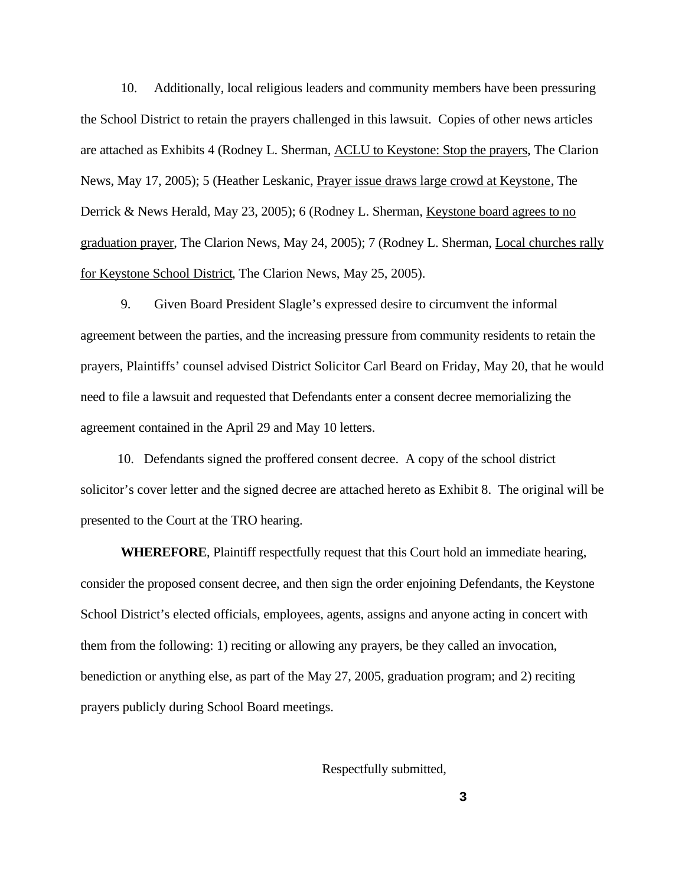10. Additionally, local religious leaders and community members have been pressuring the School District to retain the prayers challenged in this lawsuit. Copies of other news articles are attached as Exhibits 4 (Rodney L. Sherman, ACLU to Keystone: Stop the prayers, The Clarion News, May 17, 2005); 5 (Heather Leskanic, Prayer issue draws large crowd at Keystone, The Derrick & News Herald, May 23, 2005); 6 (Rodney L. Sherman, Keystone board agrees to no graduation prayer, The Clarion News, May 24, 2005); 7 (Rodney L. Sherman, Local churches rally for Keystone School District, The Clarion News, May 25, 2005).

9. Given Board President Slagle's expressed desire to circumvent the informal agreement between the parties, and the increasing pressure from community residents to retain the prayers, Plaintiffs' counsel advised District Solicitor Carl Beard on Friday, May 20, that he would need to file a lawsuit and requested that Defendants enter a consent decree memorializing the agreement contained in the April 29 and May 10 letters.

 10. Defendants signed the proffered consent decree. A copy of the school district solicitor's cover letter and the signed decree are attached hereto as Exhibit 8. The original will be presented to the Court at the TRO hearing.

**WHEREFORE**, Plaintiff respectfully request that this Court hold an immediate hearing, consider the proposed consent decree, and then sign the order enjoining Defendants, the Keystone School District's elected officials, employees, agents, assigns and anyone acting in concert with them from the following: 1) reciting or allowing any prayers, be they called an invocation, benediction or anything else, as part of the May 27, 2005, graduation program; and 2) reciting prayers publicly during School Board meetings.

Respectfully submitted,

**3**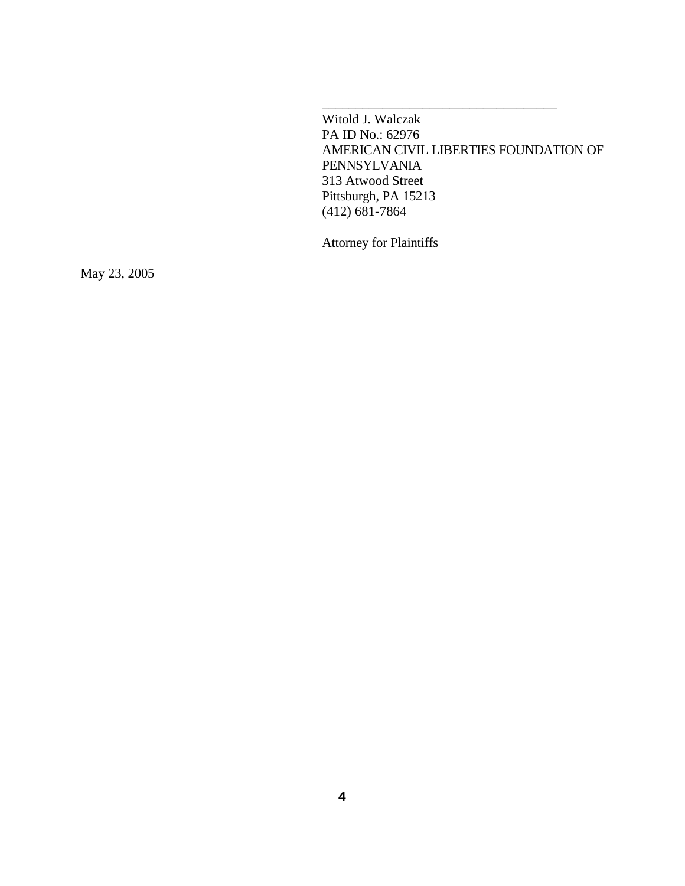Witold J. Walczak PA ID No.: 62976 AMERICAN CIVIL LIBERTIES FOUNDATION OF PENNSYLVANIA 313 Atwood Street Pittsburgh, PA 15213 (412) 681-7864

\_\_\_\_\_\_\_\_\_\_\_\_\_\_\_\_\_\_\_\_\_\_\_\_\_\_\_\_\_\_\_\_\_\_\_

Attorney for Plaintiffs

May 23, 2005